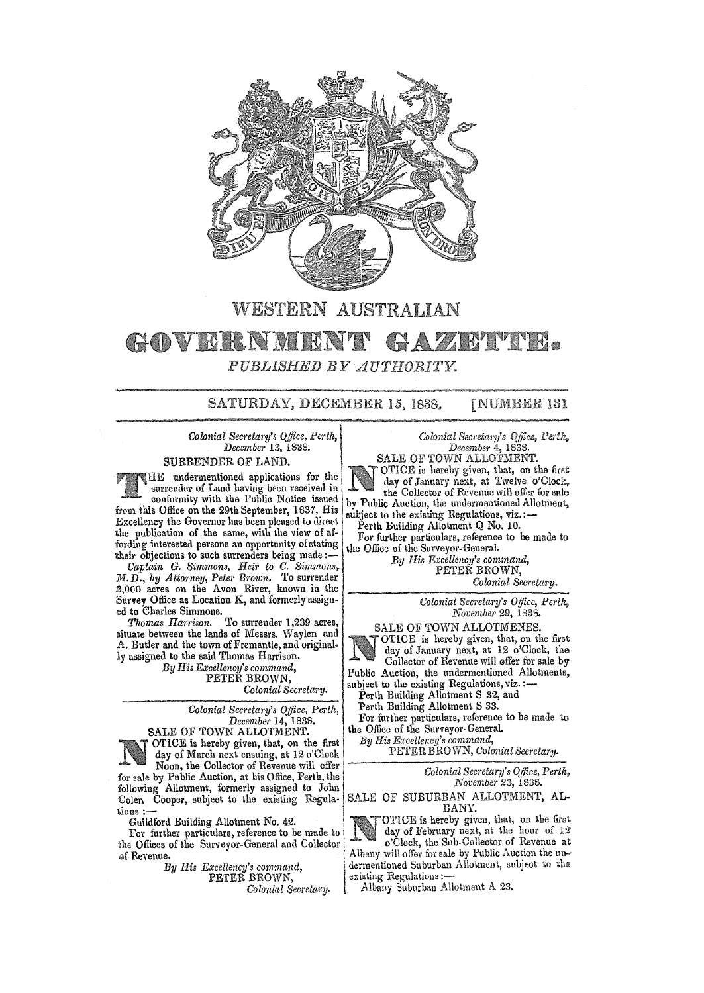

## WESTERN AUSTRALIAN

## GAZETTE. GOVERNMENT  $\it PUBLISHED$  BY  $\it AUTHORITY$ .

SATURDAY, DECEMBER 15. 1838.

**TNUMBER 131** 

*Colonial Secretary's OJlice, Perth, December* 13, 1838.

SURRENDER OF LAND.

 $H$ E undermentioned applications for the surrender of Land having been received in

conformity with the Public Notice issued from this Office on the 29th September, 1837, His Excellency the Governor has been pleased to direct the publication of the same, with the view of affording interested persons an opportunity of stating their objections to such surrenders being made:-

*Captain* G. *Simmons, Heir to C. Simmons,.*  M.D., by Attorney, Peter Brown. To surrender 3,000 acres on the Avon River, known in the Survey Office as Location K, and formerlyassign-

ed to Charles Simmons.<br>Thomas Harrison. To surrender 1,239 acres, situate between the lands of Messrs. Waylen and A. Butler and the town of Fremantle, and originally assigned to the said Thomas Harrison.

*By Hil Excellency's command,*  PETER BROWN,

*Colonial Secretary.* 

*Colonial Secretary's Office, Perth, December* 14, 1838.

SALE OF TOWN ALLOTMENT. OTICE is hereby given, that, on the first day of March next ensuing, at 12 o'Clock Noon, the Collector of Revenue will offer

For sale by Public Auction, at his Office, Perth, the intervalse of the *Colonial Secretary's Office*, Perth,  $\frac{1}{2}$  *Colonial Secretary's Office, Perth,*  $\frac{1}{2}$  *Colonial Secretary's Office, Perth,*  $\frac{1}{2}$  *Novem* followlng Allotment, formerly assigned to John *November* 23, 1838. Colen Cooper, subject to the existing Regula- SALE OF SUBURBAN ALLOTMENT, ALLIONS :-

the Offices of the Surveyor-General and Collector

*Colonial Secretary's Office, Perth, December* 4, 1838.

SALE OF TOWN ALLOTMENT. OTICE is hereby given, that, on the first day of January next, at Twelve o'Clock. the Collector of Revenue will offer for sale by Public Auction, the undermentioned Allotment,<br>subject to the existing Regulations, viz.:—

Perth Building Allotment Q No. 10.

For further particulars, reference to be made to the Office of the Surveyor-General.

*By His Excellency's command,*  PETER BROWN,

*Colonial Secretary.* 

*Colonial Secretary's Office, Perth: November* 29, 1838.

SALE OF TOWN ALLOTMENES.

OTlCE is hereby given, that, on the first day of January next, at 12 o'Clock, the Collector of Revenue will offer for sale by Public Auction, the undermentioned Allotments, subject to the existing Regulations, viz. :-

Perth Building Allotment S 32, and

Perth Building Allotment S 33.

For further particulars, reference to be made to the Office of the Surveyor-GeneraL *By His Excellency's command,* 

PETER B RO WN, *Colonial Secretary.* 

tions :—<br>Guildford Building Allotment No. 42.<br>For further particulars, reference to be made to  $\bigcup_{\text{day of February next, at the hour of 12}}$ For further particulars, reference to be made to detected and  $\frac{1}{2}$  day of February next, at the hour of 12<br>e Offices of the Surveyor-General and Collector of Revenue. Albany will offer for sale by Public Auction the un-*By His Excellency's command,* ! dermentioned Suburban Allotmen\, subject to the PETER BROWN, I existing Regulatiolis :-

*Colonial Secrelary.* Albany Suburban Allotment A 23.